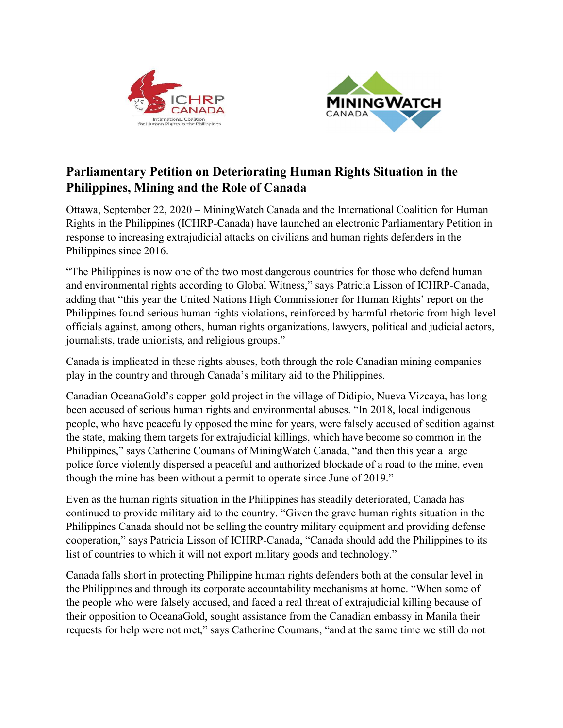



## Parliamentary Petition on Deteriorating Human Rights Situation in the Philippines, Mining and the Role of Canada

Ottawa, September 22, 2020 – MiningWatch Canada and the International Coalition for Human Rights in the Philippines (ICHRP-Canada) have launched an electronic Parliamentary Petition in response to increasing extrajudicial attacks on civilians and human rights defenders in the Philippines since 2016.

"The Philippines is now one of the two most dangerous countries for those who defend human and environmental rights according to Global Witness," says Patricia Lisson of ICHRP-Canada, adding that "this year the United Nations High Commissioner for Human Rights' report on the Philippines found serious human rights violations, reinforced by harmful rhetoric from high-level officials against, among others, human rights organizations, lawyers, political and judicial actors, journalists, trade unionists, and religious groups."

Canada is implicated in these rights abuses, both through the role Canadian mining companies play in the country and through Canada's military aid to the Philippines.

Canadian OceanaGold's copper-gold project in the village of Didipio, Nueva Vizcaya, has long been accused of serious human rights and environmental abuses. "In 2018, local indigenous people, who have peacefully opposed the mine for years, were falsely accused of sedition against the state, making them targets for extrajudicial killings, which have become so common in the Philippines," says Catherine Coumans of MiningWatch Canada, "and then this year a large police force violently dispersed a peaceful and authorized blockade of a road to the mine, even though the mine has been without a permit to operate since June of 2019."

Even as the human rights situation in the Philippines has steadily deteriorated, Canada has continued to provide military aid to the country. "Given the grave human rights situation in the Philippines Canada should not be selling the country military equipment and providing defense cooperation," says Patricia Lisson of ICHRP-Canada, "Canada should add the Philippines to its list of countries to which it will not export military goods and technology."

Canada falls short in protecting Philippine human rights defenders both at the consular level in the Philippines and through its corporate accountability mechanisms at home. "When some of the people who were falsely accused, and faced a real threat of extrajudicial killing because of their opposition to OceanaGold, sought assistance from the Canadian embassy in Manila their requests for help were not met," says Catherine Coumans, "and at the same time we still do not